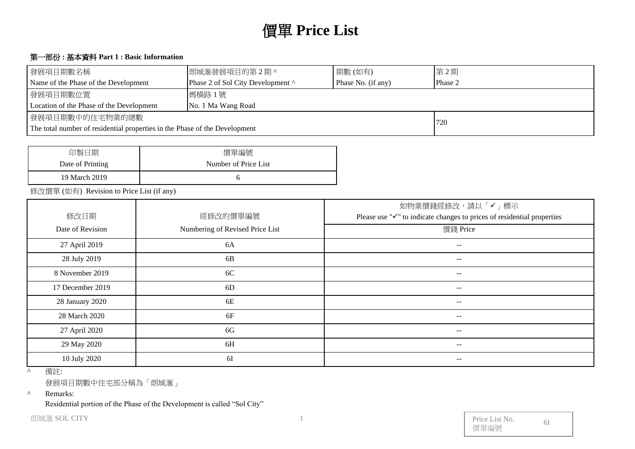# 價單 **Price List**

#### 第一部份 **:** 基本資料 **Part 1 : Basic Information**

| 發展項目期數名稱                                                                          | 朗城滙發展項目的第2期^                      | 期數(如有)  | 第2期 |  |  |  |
|-----------------------------------------------------------------------------------|-----------------------------------|---------|-----|--|--|--|
| Name of the Phase of the Development                                              | Phase 2 of Sol City Development ^ | Phase 2 |     |  |  |  |
| 發展項目期數位置                                                                          | 媽橫路1號                             |         |     |  |  |  |
| Location of the Phase of the Development                                          | No. 1 Ma Wang Road                |         |     |  |  |  |
| 發展項目期數中的住宅物業的總數                                                                   |                                   |         |     |  |  |  |
| 720<br>The total number of residential properties in the Phase of the Development |                                   |         |     |  |  |  |

┙

| 印製日期             | 價單編號                 |
|------------------|----------------------|
| Date of Printing | Number of Price List |
| 19 March 2019    |                      |

修改價單 (如有) Revision to Price List (if any)

| 修改日期             | 經修改的價單編號                        | 如物業價錢經修改,請以「✔」標示<br>Please use " $\checkmark$ " to indicate changes to prices of residential properties |
|------------------|---------------------------------|---------------------------------------------------------------------------------------------------------|
| Date of Revision | Numbering of Revised Price List | 價錢 Price                                                                                                |
| 27 April 2019    | 6A                              | $- -$                                                                                                   |
| 28 July 2019     | 6B                              | $\overline{\phantom{m}}$                                                                                |
| 8 November 2019  | 6C                              | $--$                                                                                                    |
| 17 December 2019 | 6 <sub>D</sub>                  | $- -$                                                                                                   |
| 28 January 2020  | 6E                              | $- -$                                                                                                   |
| 28 March 2020    | 6F                              | $\qquad \qquad -$                                                                                       |
| 27 April 2020    | 6G                              | $- -$                                                                                                   |
| 29 May 2020      | 6H                              | $- -$                                                                                                   |
| 10 July 2020     | 6I                              | $- -$                                                                                                   |

^ 備註:

發展項目期數中住宅部分稱為「朗城滙」

^ Remarks:

Residential portion of the Phase of the Development is called "Sol City"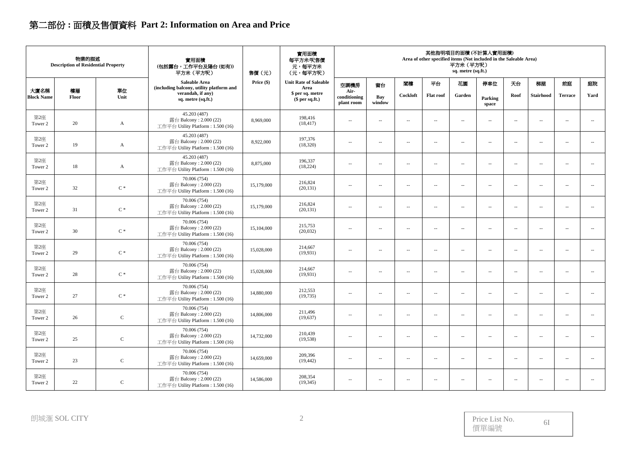# 第二部份 **:** 面積及售價資料 **Part 2: Information on Area and Price**

| 實用面積<br>物業的描述<br>實用面積<br>每平方米/呎售價<br><b>Description of Residential Property</b><br>(包括露台,工作平台及陽台(如有))<br>元,每平方米<br>平方米 (平方呎)<br>售價(元)<br>(元,每平方呎) |             |                | 其他指明項目的面積(不計算入實用面積)<br>Area of other specified items (Not included in the Saleable Area)<br>平方米 (平方呎)<br>sq. metre (sq.ft.) |            |                                      |                                    |                          |                          |                          |                          |                          |                          |                          |                             |                          |
|---------------------------------------------------------------------------------------------------------------------------------------------------|-------------|----------------|-----------------------------------------------------------------------------------------------------------------------------|------------|--------------------------------------|------------------------------------|--------------------------|--------------------------|--------------------------|--------------------------|--------------------------|--------------------------|--------------------------|-----------------------------|--------------------------|
|                                                                                                                                                   |             |                | Saleable Area<br>(including balcony, utility platform and                                                                   | Price (\$) | <b>Unit Rate of Saleable</b><br>Area | 空調機房                               | 窗台                       | 閣樓                       | 平台                       | 花園                       | 停車位                      | 天台                       | 梯屋                       | 前庭                          | 庭院                       |
| 大廈名稱<br><b>Block Name</b>                                                                                                                         | 樓層<br>Floor | 單位<br>Unit     | verandah, if any)<br>sq. metre (sq.ft.)                                                                                     |            | \$ per sq. metre<br>$$$ per sq.ft.)  | Air-<br>conditioning<br>plant room | Bay<br>window            | Cockloft                 | <b>Flat</b> roof         | Garden                   | Parking<br>space         | Roof                     | <b>Stairhood</b>         | <b>Terrace</b>              | Yard                     |
| 第2座<br>Tower 2                                                                                                                                    | 20          | A              | 45.203 (487)<br>露台 Balcony: 2.000 (22)<br>工作平台 Utility Platform: 1.500 (16)                                                 | 8,969,000  | 198,416<br>(18, 417)                 | $\sim$ $\sim$                      | $\sim$                   | $\sim$                   | $\sim$                   | $\overline{\phantom{a}}$ | $\overline{\phantom{a}}$ | $\sim$                   | $\overline{\phantom{a}}$ | $\sim$ $-$                  | $\overline{\phantom{a}}$ |
| 第2座<br>Tower 2                                                                                                                                    | 19          | $\mathbf{A}$   | 45.203 (487)<br>露台 Balcony: 2.000 (22)<br>工作平台 Utility Platform : 1.500 (16)                                                | 8,922,000  | 197,376<br>(18, 320)                 | $\sim$                             | $\sim$ $\sim$            | $\sim$                   | $\sim$                   | $\overline{\phantom{a}}$ | $\sim$ $\sim$            | $\sim$                   | $\overline{\phantom{a}}$ | $\overline{\phantom{a}}$    | $\overline{\phantom{a}}$ |
| 第2座<br>Tower 2                                                                                                                                    | 18          | $\mathbf{A}$   | 45.203 (487)<br>露台 Balcony: 2.000 (22)<br>工作平台 Utility Platform: 1.500 (16)                                                 | 8,875,000  | 196,337<br>(18, 224)                 | $\sim$                             | $\overline{\phantom{a}}$ | $\overline{\phantom{a}}$ | $\overline{\phantom{a}}$ | $\overline{\phantom{a}}$ | $\overline{\phantom{a}}$ | $\overline{\phantom{a}}$ | $\overline{\phantom{a}}$ | $\overline{\phantom{m}}$    | $\overline{\phantom{a}}$ |
| 第2座<br>Tower 2                                                                                                                                    | 32          | $\mathrm{C}$ * | 70.006 (754)<br>露台 Balcony: 2.000 (22)<br>工作平台 Utility Platform: 1.500 (16)                                                 | 15,179,000 | 216,824<br>(20, 131)                 | $\sim$ $\sim$                      | $\sim$                   | $\sim$                   | $\sim$                   | $\sim$                   | $\sim$                   | $\overline{\phantom{a}}$ | $\sim$                   | $\overline{\phantom{a}}$    | $\ldots$                 |
| 第2座<br>Tower 2                                                                                                                                    | 31          | $C*$           | 70.006 (754)<br>露台 Balcony: 2.000 (22)<br>工作平台 Utility Platform : 1.500 (16)                                                | 15,179,000 | 216,824<br>(20, 131)                 | $\sim$                             | $\sim$                   | $\sim$                   | $\sim$                   | $\overline{\phantom{a}}$ | $\overline{\phantom{a}}$ | $\sim$                   | $\overline{\phantom{a}}$ | $\sim$ $-$                  | $\sim$                   |
| 第2座<br>Tower 2                                                                                                                                    | 30          | $C*$           | 70.006 (754)<br>露台 Balcony: 2.000 (22)<br>工作平台 Utility Platform: 1.500 (16)                                                 | 15,104,000 | 215,753<br>(20,032)                  | $\sim$                             | $\sim$ $\sim$            | $\sim$                   | $\sim$                   | $\sim$                   | $\sim$ $\sim$            | $\sim$                   | $\sim$                   | $\mathcal{L}_{\mathcal{A}}$ | $\sim$                   |
| 第2座<br>Tower 2                                                                                                                                    | 29          | $C*$           | 70.006 (754)<br>露台 Balcony: 2.000 (22)<br>工作平台 Utility Platform: 1.500 (16)                                                 | 15,028,000 | 214,667<br>(19,931)                  | $\sim$                             | $\sim$                   | $\overline{\phantom{a}}$ | $\sim$                   | $\sim$                   | $\sim$                   | $\sim$                   | $\overline{\phantom{a}}$ | $\overline{\phantom{a}}$    | $\overline{\phantom{a}}$ |
| 第2座<br>Tower 2                                                                                                                                    | 28          | $C*$           | 70.006 (754)<br>露台 Balcony: 2.000 (22)<br>工作平台 Utility Platform: 1.500 (16)                                                 | 15,028,000 | 214,667<br>(19, 931)                 | $\overline{\phantom{a}}$           | $\sim$ $-$               | $\overline{\phantom{a}}$ | $\overline{\phantom{a}}$ | $\sim$                   | $\overline{\phantom{a}}$ | $\overline{\phantom{a}}$ | $\overline{\phantom{a}}$ | $\overline{\phantom{a}}$    | $\sim$                   |
| 第2座<br>Tower 2                                                                                                                                    | $27\,$      | $\mathrm{C}$ * | 70.006 (754)<br>露台 Balcony: 2.000 (22)<br>工作平台 Utility Platform: 1.500 (16)                                                 | 14,880,000 | 212,553<br>(19, 735)                 | $\sim$                             | $\sim$                   | $\sim$                   | $\sim$                   | $\sim$                   | $\sim$ $\sim$            | $\sim$                   | $\sim$                   | $\mathcal{L}_{\mathcal{A}}$ | $\ldots$                 |
| 第2座<br>Tower 2                                                                                                                                    | 26          | ${\bf C}$      | 70.006 (754)<br>露台 Balcony: 2.000 (22)<br>工作平台 Utility Platform : 1.500 (16)                                                | 14,806,000 | 211,496<br>(19,637)                  | $\sim$ $\sim$                      | $\sim$                   | $\sim$                   | $\sim$                   | $\overline{\phantom{a}}$ | $\sim$ $\sim$            | $\overline{\phantom{a}}$ | $\overline{\phantom{a}}$ | $\sim$                      | $\overline{\phantom{a}}$ |
| 第2座<br>Tower 2                                                                                                                                    | 25          | ${\bf C}$      | 70.006 (754)<br>露台 Balcony: 2.000 (22)<br>工作平台 Utility Platform: 1.500 (16)                                                 | 14,732,000 | 210,439<br>(19, 538)                 | $\sim$                             | $\overline{a}$           | $\sim$                   | $\sim$                   | $\sim$                   | $\sim$ $\sim$            | $\sim$                   | $\overline{\phantom{a}}$ | $\overline{a}$              | $\sim$                   |
| 第2座<br>Tower 2                                                                                                                                    | 23          | ${\bf C}$      | 70.006 (754)<br>露台 Balcony: 2.000 (22)<br>工作平台 Utility Platform: 1.500 (16)                                                 | 14,659,000 | 209,396<br>(19, 442)                 | $\sim$                             | $\sim$                   | $\sim$                   | $\sim$                   | $\sim$                   | $\sim$                   | $\sim$                   | $\sim$                   | $\overline{\phantom{a}}$    | $\ldots$                 |
| 第2座<br>Tower 2                                                                                                                                    | 22          | $\mathsf C$    | 70.006 (754)<br>露台 Balcony: 2.000 (22)<br>工作平台 Utility Platform : 1.500 (16)                                                | 14,586,000 | 208,354<br>(19, 345)                 | $\sim$                             | $\sim$                   | $\overline{\phantom{a}}$ | $\sim$                   | $\overline{\phantom{a}}$ | $\sim$ $\sim$            | $\sim$                   | $\overline{\phantom{a}}$ | $\sim$                      | $\sim$                   |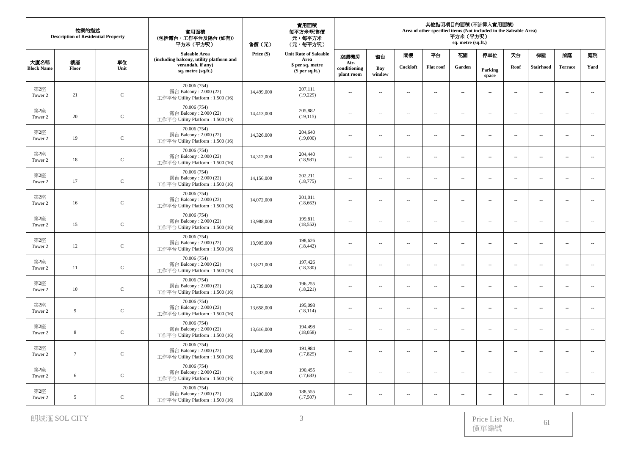| 物業的描述<br><b>Description of Residential Property</b> |                |              | 實用面積<br>(包括露台,工作平台及陽台(如有))<br>平方米 (平方呎)                                      | 售價(元)      | 實用面積<br>每平方米/呎售價<br>元,每平方米<br>(元,每平方呎) | 其他指明項目的面積 (不計算入實用面積)<br>Area of other specified items (Not included in the Saleable Area)<br>平方米 (平方呎)<br>sq. metre (sq.ft.) |                          |                          |                          |                          |                          |                          |                          |                          |                             |
|-----------------------------------------------------|----------------|--------------|------------------------------------------------------------------------------|------------|----------------------------------------|------------------------------------------------------------------------------------------------------------------------------|--------------------------|--------------------------|--------------------------|--------------------------|--------------------------|--------------------------|--------------------------|--------------------------|-----------------------------|
|                                                     |                |              | Saleable Area<br>(including balcony, utility platform and                    | Price (\$) | <b>Unit Rate of Saleable</b><br>Area   | 空調機房                                                                                                                         | 窗台                       | 閣樓                       | 平台                       | 花園                       | 停車位                      | 天台                       | 梯屋                       | 前庭                       | 庭院                          |
| 大廈名稱<br><b>Block Name</b>                           | 樓層<br>Floor    | 單位<br>Unit   | verandah, if any)<br>sq. metre (sq.ft.)                                      |            | \$ per sq. metre<br>$$$ per sq.ft.)    | Air-<br>conditioning<br>plant room                                                                                           | Bay<br>window            | Cockloft                 | <b>Flat roof</b>         | Garden                   | Parking<br>space         | Roof                     | <b>Stairhood</b>         | <b>Terrace</b>           | Yard                        |
| 第2座<br>Tower 2                                      | 21             | $\mathbf C$  | 70.006 (754)<br>露台 Balcony: 2.000 (22)<br>工作平台 Utility Platform : 1.500 (16) | 14,499,000 | 207,111<br>(19,229)                    | $\sim$                                                                                                                       | ÷.                       | $\sim$                   | $\sim$                   | $\overline{\phantom{a}}$ | $\overline{\phantom{a}}$ | $\sim$                   | $\sim$                   | $\sim$                   | $\overline{\phantom{a}}$    |
| 第2座<br>Tower 2                                      | 20             | $\mathbf C$  | 70.006 (754)<br>露台 Balcony: 2.000 (22)<br>工作平台 Utility Platform: 1.500 (16)  | 14,413,000 | 205.882<br>(19, 115)                   | $\overline{a}$                                                                                                               | $\sim$                   | $\sim$                   | $\sim$                   | $\sim$                   | $\sim$ $\sim$            | $\sim$                   | $\sim$                   | $\sim$                   | $\ldots$                    |
| 第2座<br>Tower 2                                      | 19             | $\mathsf C$  | 70.006 (754)<br>露台 Balcony: 2.000 (22)<br>工作平台 Utility Platform: 1.500 (16)  | 14,326,000 | 204,640<br>(19,000)                    | $\sim$ $\sim$                                                                                                                | $\sim$ $\sim$            | $\sim$                   | $\overline{\phantom{a}}$ | $\sim$                   | $\overline{\phantom{a}}$ | $\overline{\phantom{a}}$ | $\overline{\phantom{a}}$ | $\sim$                   | $\overline{\phantom{a}}$    |
| 第2座<br>Tower 2                                      | 18             | $\mathsf C$  | 70.006 (754)<br>露台 Balcony: 2.000 (22)<br>工作平台 Utility Platform: 1.500 (16)  | 14,312,000 | 204,440<br>(18,981)                    | $\sim$ $-$                                                                                                                   | $\overline{\phantom{a}}$ | ÷.                       | $\overline{\phantom{a}}$ | ÷.                       | ÷.                       | $\sim$                   | $\sim$                   | $\overline{a}$           | $\sim$                      |
| 第2座<br>Tower 2                                      | 17             | $\mathbf C$  | 70.006 (754)<br>露台 Balcony: 2.000 (22)<br>工作平台 Utility Platform: 1.500 (16)  | 14,156,000 | 202.211<br>(18, 775)                   | $\sim$                                                                                                                       | $\sim$                   | $\overline{\phantom{a}}$ | $\sim$                   | $\sim$                   | $\overline{a}$           | $\sim$                   | $\sim$                   | $\sim$                   | $\sim$                      |
| 第2座<br>Tower 2                                      | 16             | $\mathbf C$  | 70.006 (754)<br>露台 Balcony: 2.000 (22)<br>工作平台 Utility Platform : 1.500 (16) | 14,072,000 | 201,011<br>(18, 663)                   | $\sim$ $\sim$                                                                                                                | $\sim$                   | ÷.                       | $\overline{\phantom{a}}$ | ÷.                       | $\overline{\phantom{a}}$ | $\overline{\phantom{a}}$ | $\overline{\phantom{a}}$ | $\overline{\phantom{a}}$ | $\sim$                      |
| 第2座<br>Tower 2                                      | 15             | $\mathsf C$  | 70.006 (754)<br>露台 Balcony: 2.000 (22)<br>工作平台 Utility Platform: 1.500 (16)  | 13,988,000 | 199,811<br>(18, 552)                   | $\overline{\phantom{a}}$                                                                                                     | ÷.                       | $\overline{a}$           | $\overline{\phantom{a}}$ | $\overline{\phantom{a}}$ | $\overline{a}$           | $\overline{\phantom{a}}$ | $\overline{\phantom{a}}$ | $\ddot{\phantom{a}}$     | $\ldots$                    |
| 第2座<br>Tower 2                                      | 12             | $\mathbf C$  | 70.006 (754)<br>露台 Balcony: 2.000 (22)<br>工作平台 Utility Platform: 1.500 (16)  | 13,905,000 | 198,626<br>(18, 442)                   | $\sim$                                                                                                                       | $\sim$                   | $\sim$                   | $\sim$                   | $\sim$                   | $\overline{a}$           | $\sim$                   | $\sim$                   | $\sim$                   | $\sim$                      |
| 第2座<br>Tower 2                                      | 11             | $\mathbf{C}$ | 70,006 (754)<br>露台 Balcony: 2.000 (22)<br>工作平台 Utility Platform : 1.500 (16) | 13,821,000 | 197,426<br>(18, 330)                   | $\sim$                                                                                                                       | $\sim$                   | $\sim$                   | $\overline{\phantom{a}}$ | $\sim$                   | $\overline{\phantom{a}}$ | $\sim$                   | $\sim$                   | $\sim$                   | $\overline{\phantom{a}}$    |
| 第2座<br>Tower 2                                      | 10             | $\mathsf C$  | 70.006 (754)<br>露台 Balcony: 2.000 (22)<br>工作平台 Utility Platform: 1.500 (16)  | 13,739,000 | 196,255<br>(18,221)                    | $\overline{\phantom{a}}$                                                                                                     | $\overline{\phantom{a}}$ | $\overline{\phantom{a}}$ | $\overline{\phantom{a}}$ | $\overline{\phantom{a}}$ | $\overline{\phantom{a}}$ | $\overline{\phantom{a}}$ | $\overline{\phantom{a}}$ | $\overline{a}$           | $\overline{\phantom{a}}$    |
| 第2座<br>Tower 2                                      | 9              | $\mathbf C$  | 70.006 (754)<br>露台 Balcony: 2.000 (22)<br>工作平台 Utility Platform: 1.500 (16)  | 13,658,000 | 195,098<br>(18, 114)                   | $\sim$                                                                                                                       | $\sim$                   | $\sim$                   | $\sim$                   | $\sim$                   | $\overline{\phantom{a}}$ | $\sim$                   | $\sim$                   | $\sim$                   | $\overline{\phantom{a}}$    |
| 第2座<br>Tower 2                                      | 8              | $\mathsf C$  | 70.006 (754)<br>露台 Balcony: 2.000 (22)<br>工作平台 Utility Platform : 1.500 (16) | 13,616,000 | 194,498<br>(18,058)                    | $\sim$                                                                                                                       | $\sim$                   | $\sim$                   | $\overline{\phantom{a}}$ | $\sim$                   | $\sim$ $\sim$            | $\sim$                   | $\sim$                   | $\sim$                   | $\mathcal{L}_{\mathcal{A}}$ |
| 第2座<br>Tower 2                                      | $\overline{7}$ | $\mathbf C$  | 70.006 (754)<br>露台 Balcony: 2.000 (22)<br>工作平台 Utility Platform: 1.500 (16)  | 13,440,000 | 191,984<br>(17, 825)                   | $\overline{\phantom{a}}$                                                                                                     | $\sim$                   | $\overline{a}$           | $\sim$                   | $\ldots$                 | $\overline{\phantom{a}}$ | $\overline{\phantom{a}}$ | $\overline{\phantom{a}}$ | $\sim$                   | $\ldots$                    |
| 第2座<br>Tower 2                                      | 6              | $\mathbf C$  | 70.006 (754)<br>露台 Balcony: 2.000 (22)<br>工作平台 Utility Platform : 1.500 (16) | 13,333,000 | 190,455<br>(17,683)                    | $\sim$                                                                                                                       | $\sim$ $\sim$            | $\sim$                   | $\overline{\phantom{a}}$ | $\sim$                   | $\overline{\phantom{a}}$ | $\sim$                   | $\sim$                   | $\sim$                   | $\overline{\phantom{a}}$    |
| 第2座<br>Tower 2                                      | 5              | $\mathbf C$  | 70.006 (754)<br>露台 Balcony: 2.000 (22)<br>工作平台 Utility Platform: 1.500 (16)  | 13,200,000 | 188,555<br>(17,507)                    | $\sim$ $-$                                                                                                                   | $\sim$                   | $\sim$                   | $\overline{\phantom{a}}$ | $\sim$                   | $\overline{\phantom{a}}$ | $\sim$                   | $\sim$                   | $\sim$                   | $\sim$                      |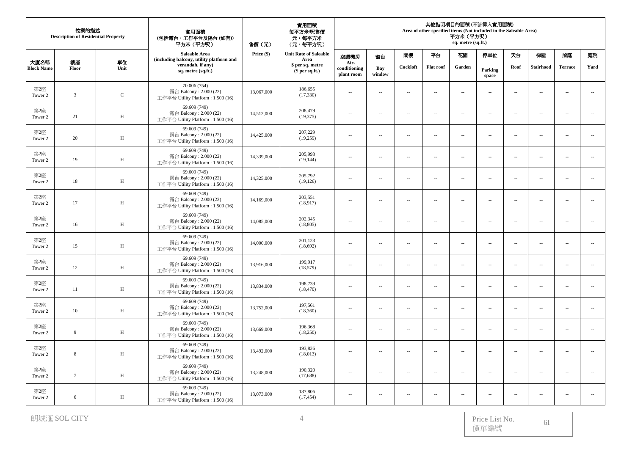| 物業的描述<br><b>Description of Residential Property</b> |                         |              | 實用面積<br>(包括露台,工作平台及陽台(如有))<br>平方米 (平方呎)                                      | 售價(元)      | 實用面積<br>每平方米/呎售價<br>元,每平方米<br>(元,每平方呎) | 其他指明項目的面積 (不計算入實用面積)<br>Area of other specified items (Not included in the Saleable Area)<br>平方米 (平方呎)<br>sq. metre (sq.ft.) |                          |                          |                          |                          |                          |                          |                          |                          |                             |
|-----------------------------------------------------|-------------------------|--------------|------------------------------------------------------------------------------|------------|----------------------------------------|------------------------------------------------------------------------------------------------------------------------------|--------------------------|--------------------------|--------------------------|--------------------------|--------------------------|--------------------------|--------------------------|--------------------------|-----------------------------|
|                                                     |                         |              | Saleable Area<br>(including balcony, utility platform and                    | Price (\$) | <b>Unit Rate of Saleable</b><br>Area   | 空調機房                                                                                                                         | 窗台                       | 閣樓                       | 平台                       | 花園                       | 停車位                      | 天台                       | 梯屋                       | 前庭                       | 庭院                          |
| 大廈名稱<br><b>Block Name</b>                           | 樓層<br>Floor             | 單位<br>Unit   | verandah, if any)<br>sq. metre (sq.ft.)                                      |            | \$ per sq. metre<br>$$$ per sq.ft.)    | Air-<br>conditioning<br>plant room                                                                                           | <b>Bay</b><br>window     | Cockloft                 | <b>Flat roof</b>         | Garden                   | Parking<br>space         | Roof                     | <b>Stairhood</b>         | <b>Terrace</b>           | Yard                        |
| 第2座<br>Tower 2                                      | $\overline{\mathbf{3}}$ | ${\bf C}$    | 70.006 (754)<br>露台 Balcony: 2.000 (22)<br>工作平台 Utility Platform : 1.500 (16) | 13,067,000 | 186,655<br>(17, 330)                   | $\sim$                                                                                                                       | ÷.                       | $\sim$                   | $\sim$                   | $\overline{\phantom{a}}$ | $\overline{\phantom{a}}$ | $\sim$                   | $\sim$                   | $\sim$                   | $\overline{\phantom{a}}$    |
| 第2座<br>Tower 2                                      | 21                      | $\, {\rm H}$ | 69.609 (749)<br>露台 Balcony: 2.000 (22)<br>工作平台 Utility Platform: 1.500 (16)  | 14,512,000 | 208,479<br>(19, 375)                   | $\overline{a}$                                                                                                               | $\sim$                   | $\sim$                   | $\sim$                   | $\sim$                   | $\sim$ $\sim$            | $\sim$                   | $\sim$                   | $\overline{\phantom{a}}$ | $\ldots$                    |
| 第2座<br>Tower 2                                      | 20                      | H            | 69.609 (749)<br>露台 Balcony: 2.000 (22)<br>工作平台 Utility Platform: 1.500 (16)  | 14,425,000 | 207,229<br>(19,259)                    | $\sim$ $\sim$                                                                                                                | $\sim$ $\sim$            | $\sim$                   | $\overline{\phantom{a}}$ | $\sim$                   | $\overline{\phantom{a}}$ | $\overline{\phantom{a}}$ | $\overline{\phantom{a}}$ | $\sim$                   | $\overline{\phantom{a}}$    |
| 第2座<br>Tower 2                                      | 19                      | $\, {\rm H}$ | 69.609 (749)<br>露台 Balcony: 2.000 (22)<br>工作平台 Utility Platform: 1.500 (16)  | 14,339,000 | 205,993<br>(19, 144)                   | $\overline{\phantom{a}}$                                                                                                     | $\overline{\phantom{a}}$ | ÷.                       | $\overline{\phantom{a}}$ | ÷.                       | ÷.                       | $\sim$                   | $\sim$                   | $\overline{a}$           | $\sim$                      |
| 第2座<br>Tower 2                                      | $18\,$                  | $\,$ H       | 69.609 (749)<br>露台 Balcony: 2.000 (22)<br>工作平台 Utility Platform: 1.500 (16)  | 14,325,000 | 205,792<br>(19, 126)                   | $\sim$                                                                                                                       | $\sim$                   | $\overline{\phantom{a}}$ | $\sim$                   | $\sim$                   | $\overline{a}$           | $\sim$                   | $\sim$                   | $\sim$                   | $\sim$                      |
| 第2座<br>Tower 2                                      | 17                      | H            | 69,609 (749)<br>露台 Balcony: 2.000 (22)<br>工作平台 Utility Platform : 1.500 (16) | 14,169,000 | 203,551<br>(18, 917)                   | $\sim$ $\sim$                                                                                                                | $\sim$                   | ÷.                       | $\overline{\phantom{a}}$ | ÷.                       | $\overline{\phantom{a}}$ | $\overline{\phantom{a}}$ | $\overline{\phantom{a}}$ | $\overline{\phantom{a}}$ | ÷.                          |
| 第2座<br>Tower 2                                      | 16                      | $\,$ H       | 69.609 (749)<br>露台 Balcony: 2.000 (22)<br>工作平台 Utility Platform: 1.500 (16)  | 14,085,000 | 202,345<br>(18, 805)                   | $\overline{\phantom{a}}$                                                                                                     | ÷.                       | $\overline{a}$           | $\overline{\phantom{a}}$ | $\overline{\phantom{a}}$ | $\overline{a}$           | $\overline{\phantom{a}}$ | $\overline{\phantom{a}}$ | $\ddot{\phantom{a}}$     | $\ldots$                    |
| 第2座<br>Tower 2                                      | 15                      | $\,$ H       | 69.609 (749)<br>露台 Balcony: 2.000 (22)<br>工作平台 Utility Platform: 1.500 (16)  | 14,000,000 | 201,123<br>(18,692)                    | $\sim$                                                                                                                       | $\sim$                   | $\sim$                   | $\sim$                   | $\sim$                   | $\overline{a}$           | $\sim$                   | $\sim$                   | $\sim$                   | $\sim$                      |
| 第2座<br>Tower 2                                      | 12                      | H            | 69,609 (749)<br>露台 Balcony: 2.000 (22)<br>工作平台 Utility Platform : 1.500 (16) | 13,916,000 | 199,917<br>(18, 579)                   | $\sim$                                                                                                                       | $\sim$                   | $\sim$                   | $\overline{\phantom{a}}$ | $\sim$                   | $\overline{\phantom{a}}$ | $\sim$                   | $\sim$                   | $\sim$                   | $\overline{\phantom{a}}$    |
| 第2座<br>Tower 2                                      | 11                      | $\,$ H       | 69.609 (749)<br>露台 Balcony: 2.000 (22)<br>工作平台 Utility Platform: 1.500 (16)  | 13,834,000 | 198,739<br>(18, 470)                   | $\overline{\phantom{a}}$                                                                                                     | $\overline{\phantom{a}}$ | $\overline{\phantom{a}}$ | $\overline{\phantom{a}}$ | $\overline{\phantom{a}}$ | $\overline{\phantom{a}}$ | $\overline{\phantom{a}}$ | $\overline{\phantom{a}}$ | $\overline{a}$           | $\ldots$                    |
| 第2座<br>Tower 2                                      | 10                      | $\,$ H       | 69.609 (749)<br>露台 Balcony: 2.000 (22)<br>工作平台 Utility Platform: 1.500 (16)  | 13,752,000 | 197,561<br>(18,360)                    | $\sim$ $\sim$                                                                                                                | $\sim$                   | $\sim$                   | $\sim$                   | $\sim$                   | $\overline{\phantom{a}}$ | $\sim$                   | $\sim$                   | $\sim$                   | $\overline{\phantom{a}}$    |
| 第2座<br>Tower 2                                      | 9                       | $\, {\rm H}$ | 69.609 (749)<br>露台 Balcony: 2.000 (22)<br>工作平台 Utility Platform : 1.500 (16) | 13,669,000 | 196,368<br>(18,250)                    | $\sim$                                                                                                                       | $\sim$                   | $\sim$                   | $\overline{\phantom{a}}$ | $\sim$                   | $\sim$ $\sim$            | $\sim$                   | $\sim$                   | $\sim$                   | $\mathcal{L}_{\mathcal{A}}$ |
| 第2座<br>Tower 2                                      | 8                       | H            | 69.609 (749)<br>露台 Balcony: 2.000 (22)<br>工作平台 Utility Platform: 1.500 (16)  | 13,492,000 | 193,826<br>(18,013)                    | $\overline{\phantom{a}}$                                                                                                     | $\sim$                   | $\overline{a}$           | $\sim$                   | $\ldots$                 | $\overline{\phantom{a}}$ | $\overline{\phantom{a}}$ | $\overline{\phantom{a}}$ | $\overline{a}$           | $\ldots$                    |
| 第2座<br>Tower 2                                      | $7\phantom{.0}$         | $\,$ H       | 69.609 (749)<br>露台 Balcony: 2.000 (22)<br>工作平台 Utility Platform : 1.500 (16) | 13,248,000 | 190,320<br>(17,688)                    | $\sim$                                                                                                                       | $\sim$ $\sim$            | $\sim$                   | $\overline{\phantom{a}}$ | $\sim$                   | $\overline{\phantom{a}}$ | $\sim$                   | $\sim$                   | $\sim$                   | $\overline{\phantom{a}}$    |
| 第2座<br>Tower 2                                      | 6                       | $\, {\rm H}$ | 69.609 (749)<br>露台 Balcony: 2.000 (22)<br>工作平台 Utility Platform: 1.500 (16)  | 13,073,000 | 187,806<br>(17, 454)                   | $\sim$ $-$                                                                                                                   | $\sim$                   | $\sim$                   | $\overline{\phantom{a}}$ | $\sim$                   | $\overline{\phantom{a}}$ | $\sim$                   | $\sim$                   | $\sim$                   | $\sim$                      |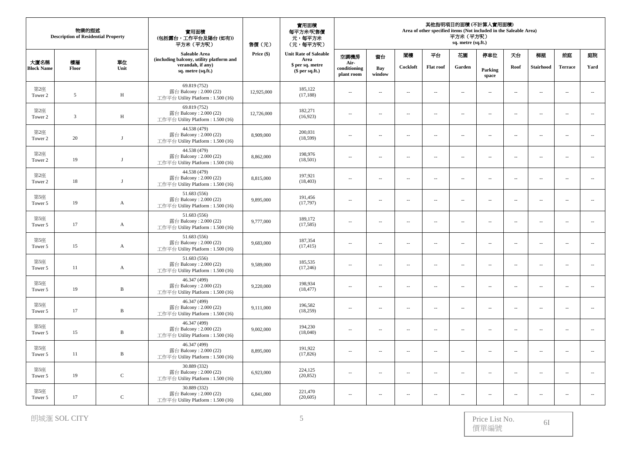|                           | 物業的描述<br><b>Description of Residential Property</b> |              | 實用面積<br>(包括露台,工作平台及陽台(如有))<br>平方米 (平方呎)                                      | 售價(元)      | 實用面積<br>每平方米/呎售價<br>元,每平方米<br>(元,每平方呎) | 其他指明項目的面積 (不計算入實用面積)<br>Area of other specified items (Not included in the Saleable Area)<br>平方米 (平方呎)<br>sq. metre (sq.ft.) |               |                          |                          |                          |                          |                          |                          |                          |                             |
|---------------------------|-----------------------------------------------------|--------------|------------------------------------------------------------------------------|------------|----------------------------------------|------------------------------------------------------------------------------------------------------------------------------|---------------|--------------------------|--------------------------|--------------------------|--------------------------|--------------------------|--------------------------|--------------------------|-----------------------------|
|                           |                                                     |              | Saleable Area<br>(including balcony, utility platform and                    | Price (\$) | <b>Unit Rate of Saleable</b><br>Area   | 空調機房                                                                                                                         | 窗台            | 閨樓                       | 平台                       | 花園                       | 停車位                      | 天台                       | 梯屋                       | 前庭                       | 庭院                          |
| 大廈名稱<br><b>Block Name</b> | 樓層<br>Floor                                         | 單位<br>Unit   | verandah, if any)<br>sq. metre (sq.ft.)                                      |            | \$ per sq. metre<br>$$$ per sq.ft.)    | Air-<br>conditioning<br>plant room                                                                                           | Bay<br>window | Cockloft                 | <b>Flat roof</b>         | Garden                   | Parking<br>space         | Roof                     | <b>Stairhood</b>         | <b>Terrace</b>           | Yard                        |
| 第2座<br>Tower 2            | 5                                                   | $\,$ H       | 69.819 (752)<br>露台 Balcony: 2.000 (22)<br>工作平台 Utility Platform: 1.500 (16)  | 12,925,000 | 185,122<br>(17, 188)                   | $\overline{a}$                                                                                                               | $\sim$        | $\overline{a}$           | $\sim$                   | $\sim$                   | $\sim$ $\sim$            | $\sim$                   | $\sim$                   | $\sim$                   | $\sim$                      |
| 第2座<br>Tower 2            | $\overline{3}$                                      | H            | 69.819 (752)<br>露台 Balcony: 2.000 (22)<br>工作平台 Utility Platform : 1.500 (16) | 12,726,000 | 182,271<br>(16, 923)                   | $\sim$ $-$                                                                                                                   | $\sim$        | $\sim$                   | $\overline{\phantom{a}}$ | $\sim$                   | $\sim$                   | $\sim$                   | $\overline{\phantom{a}}$ | $\sim$                   | $\overline{\phantom{a}}$    |
| 第2座<br>Tower 2            | 20                                                  | $_{\rm J}$   | 44.538 (479)<br>露台 Balcony: 2.000 (22)<br>工作平台 Utility Platform: 1.500 (16)  | 8,909,000  | 200,031<br>(18, 599)                   | $\overline{\phantom{a}}$                                                                                                     | $\sim$        | $\overline{a}$           | $\overline{\phantom{a}}$ | $\ldots$                 | $\overline{\phantom{a}}$ | $\overline{\phantom{a}}$ | $\overline{\phantom{a}}$ | $\ldots$                 | ÷.                          |
| 第2座<br>Tower 2            | 19                                                  | J            | 44.538 (479)<br>露台 Balcony: 2.000 (22)<br>工作平台 Utility Platform : 1.500 (16) | 8,862,000  | 198,976<br>(18,501)                    | $\sim$                                                                                                                       | $\sim$ $\sim$ | $\sim$                   | $\overline{\phantom{a}}$ | $\sim$                   | $\sim$                   | $\sim$                   | $\sim$                   | μ.                       | $\sim$                      |
| 第2座<br>Tower 2            | $18\,$                                              | $\mathbf{J}$ | 44.538 (479)<br>露台 Balcony: 2.000 (22)<br>工作平台 Utility Platform: 1.500 (16)  | 8,815,000  | 197,921<br>(18, 403)                   | $\sim$                                                                                                                       | $\sim$        | $\overline{\phantom{a}}$ | $\sim$                   | $\sim$                   | $\sim$ $\sim$            | $\bar{\phantom{a}}$      | $\bar{a}$                | $\sim$                   | $\sim$                      |
| 第5座<br>Tower 5            | 19                                                  | $\mathbf{A}$ | 51.683 (556)<br>露台 Balcony: 2.000 (22)<br>工作平台 Utility Platform: 1.500 (16)  | 9,895,000  | 191,456<br>(17,797)                    | $\sim$ $\sim$                                                                                                                | $\sim$        | $\sim$                   | $\overline{\phantom{a}}$ | ÷.                       | $\overline{\phantom{a}}$ | $\overline{\phantom{a}}$ | $\overline{\phantom{a}}$ | $\overline{\phantom{a}}$ | $\overline{\phantom{a}}$    |
| 第5座<br>Tower 5            | 17                                                  | $\mathbf{A}$ | 51.683 (556)<br>露台 Balcony: 2.000 (22)<br>工作平台 Utility Platform: 1.500 (16)  | 9,777,000  | 189,172<br>(17, 585)                   | $\overline{\phantom{a}}$                                                                                                     | ÷.            | $\ldots$                 | $\overline{\phantom{a}}$ | $\ldots$                 | $\overline{a}$           | $\overline{\phantom{a}}$ | $\overline{\phantom{a}}$ | $\ddot{\phantom{a}}$     | $\mathcal{L}_{\mathcal{A}}$ |
| 第5座<br>Tower 5            | 15                                                  | $\mathbf{A}$ | 51.683 (556)<br>露台 Balcony: 2.000 (22)<br>工作平台 Utility Platform: 1.500 (16)  | 9,683,000  | 187,354<br>(17, 415)                   | $\overline{\phantom{a}}$                                                                                                     | ÷.            | $\sim$                   | $\sim$                   | $\sim$                   | $\sim$                   | $\sim$                   | $\sim$                   | $\sim$                   | $\overline{\phantom{a}}$    |
| 第5座<br>Tower 5            | 11                                                  | $\mathbf{A}$ | 51.683 (556)<br>露台 Balcony: 2.000 (22)<br>工作平台 Utility Platform : 1.500 (16) | 9,589,000  | 185,535<br>(17, 246)                   | $\sim$ $-$                                                                                                                   | $\sim$        | $\sim$                   | $\overline{\phantom{a}}$ | $\sim$                   | $\sim$                   | $\sim$                   | $\sim$                   | $\overline{\phantom{a}}$ | $\mathcal{L}_{\mathcal{A}}$ |
| 第5座<br>Tower 5            | 19                                                  | $\, {\bf B}$ | 46.347 (499)<br>露台 Balcony: 2.000 (22)<br>工作平台 Utility Platform: 1.500 (16)  | 9,220,000  | 198,934<br>(18, 477)                   | $\sim$                                                                                                                       | ÷.            | $\sim$                   | $\sim$                   | ÷.                       | $\sim$                   | $\sim$                   | $\overline{\phantom{a}}$ | 44                       | $\sim$                      |
| 第5座<br>Tower 5            | 17                                                  | $\, {\bf B}$ | 46.347 (499)<br>露台 Balcony: 2.000 (22)<br>工作平台 Utility Platform : 1.500 (16) | 9,111,000  | 196,582<br>(18,259)                    | $\overline{\phantom{a}}$                                                                                                     | $\sim$        | $\sim$                   | $\overline{\phantom{a}}$ | $\ldots$                 | $\sim$ $\sim$            | $\sim$                   | $\overline{\phantom{a}}$ | $\sim$                   | $\mathcal{L}_{\mathcal{A}}$ |
| 第5座<br>Tower 5            | 15                                                  | $\, {\bf B}$ | 46.347 (499)<br>露台 Balcony: 2.000 (22)<br>工作平台 Utility Platform: 1.500 (16)  | 9,002,000  | 194,230<br>(18,040)                    | $\sim$                                                                                                                       | $\sim$        | $\sim$                   | $\sim$                   | $\sim$                   | $\sim$ $\sim$            | $\sim$                   | $\sim$                   | $\sim$                   | $\sim$                      |
| 第5座<br>Tower 5            | 11                                                  | $\, {\bf B}$ | 46.347 (499)<br>露台 Balcony: 2.000 (22)<br>工作平台 Utility Platform : 1.500 (16) | 8,895,000  | 191,922<br>(17, 826)                   | $\sim$ $-$                                                                                                                   | $\sim$        | $\sim$                   | $\overline{\phantom{a}}$ | $\sim$                   | $\sim$                   | $\sim$                   | $\overline{\phantom{a}}$ | μ.                       | $\ldots$                    |
| 第5座<br>Tower 5            | 19                                                  | $\mathbf C$  | 30.889 (332)<br>露台 Balcony: 2.000 (22)<br>工作平台 Utility Platform : 1.500 (16) | 6,923,000  | 224,125<br>(20, 852)                   | $\sim$                                                                                                                       | ÷.            | ÷.                       | $\sim$                   | $\ldots$                 | $\sim$                   | $\overline{\phantom{a}}$ | $\overline{\phantom{a}}$ | $\sim$                   | $\ldots$                    |
| 第5座<br>Tower 5            | 17                                                  | $\mathsf C$  | 30.889 (332)<br>露台 Balcony: 2.000 (22)<br>工作平台 Utility Platform: 1.500 (16)  | 6,841,000  | 221,470<br>(20, 605)                   | $\sim$ $-$                                                                                                                   | $\sim$        | $\sim$                   | $\sim$                   | $\overline{\phantom{a}}$ | $\sim$                   | $\sim$                   | $\sim$                   | $\overline{a}$           | $\overline{a}$              |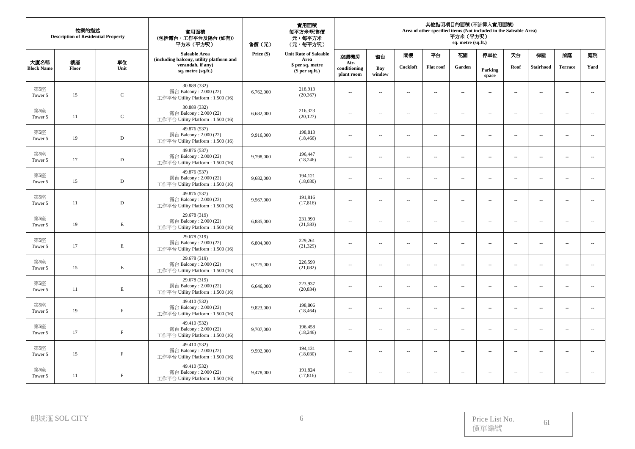|                           | 物業的描述<br><b>Description of Residential Property</b> |              | 實用面積<br>(包括露台,工作平台及陽台(如有))<br>平方米 (平方呎)                                      | 售價(元)      | 實用面積<br>每平方米/呎售價<br>元,每平方米<br>(元,每平方呎) |                                    |                          | 其他指明項目的面積 (不計算入實用面積)<br>Area of other specified items (Not included in the Saleable Area)<br>平方米(平方呎)<br>sq. metre (sq.ft.) |                          |                          |                          |                          |                          |                          |                          |  |  |
|---------------------------|-----------------------------------------------------|--------------|------------------------------------------------------------------------------|------------|----------------------------------------|------------------------------------|--------------------------|-----------------------------------------------------------------------------------------------------------------------------|--------------------------|--------------------------|--------------------------|--------------------------|--------------------------|--------------------------|--------------------------|--|--|
|                           |                                                     |              | <b>Saleable Area</b><br>(including balcony, utility platform and             | Price (\$) | <b>Unit Rate of Saleable</b><br>Area   | 空調機房                               | 窗台                       | 閣樓                                                                                                                          | 平台                       | 花園                       | 停車位                      | 天台                       | 梯屋                       | 前庭                       | 庭院                       |  |  |
| 大廈名稱<br><b>Block Name</b> | 樓層<br>Floor                                         | 單位<br>Unit   | verandah, if any)<br>sq. metre (sq.ft.)                                      |            | \$ per sq. metre<br>$$$ per sq.ft.)    | Air-<br>conditioning<br>plant room | Bay<br>window            | Cockloft                                                                                                                    | <b>Flat roof</b>         | Garden                   | Parking<br>space         | Roof                     | <b>Stairhood</b>         | <b>Terrace</b>           | Yard                     |  |  |
| 第5座<br>Tower 5            | 15                                                  | $\,c\,$      | 30.889 (332)<br>露台 Balcony: 2.000 (22)<br>工作平台 Utility Platform: 1.500 (16)  | 6,762,000  | 218,913<br>(20, 367)                   | $\sim$ $\sim$                      | $\sim$                   | $\sim$                                                                                                                      | $\sim$                   | $\overline{\phantom{a}}$ | $\overline{\phantom{a}}$ | $\sim$                   | $\sim$                   | $\overline{\phantom{a}}$ | $\sim$                   |  |  |
| 第5座<br>Tower 5            | 11                                                  | $\mathbf C$  | 30.889 (332)<br>露台 Balcony: 2.000 (22)<br>工作平台 Utility Platform: 1.500 (16)  | 6,682,000  | 216,323<br>(20, 127)                   | $\sim$                             | $\sim$ $\sim$            | $\sim$                                                                                                                      | $\sim$                   | $\overline{\phantom{a}}$ | $\overline{\phantom{a}}$ | $\sim$                   | $\sim$                   | $\sim$                   | $\overline{\phantom{a}}$ |  |  |
| 第5座<br>Tower 5            | 19                                                  | $\,$ D       | 49.876 (537)<br>露台 Balcony: 2.000 (22)<br>工作平台 Utility Platform: 1.500 (16)  | 9,916,000  | 198,813<br>(18, 466)                   | $\sim$                             | $\sim$                   | $\sim$                                                                                                                      | $\sim$                   | $\overline{\phantom{a}}$ | $\sim$                   | $\sim$                   | $\sim$                   | $\overline{a}$           | $\overline{\phantom{a}}$ |  |  |
| 第5座<br>Tower 5            | 17                                                  | D            | 49.876 (537)<br>露台 Balcony: 2.000 (22)<br>工作平台 Utility Platform: 1.500 (16)  | 9,798,000  | 196,447<br>(18,246)                    | $\sim$ $\sim$                      | $\sim$ $\sim$            | $\sim$                                                                                                                      | $\sim$                   | $\overline{\phantom{a}}$ | $\sim$ $\sim$            | $\sim$                   | $\sim$                   | $\sim$                   | $\overline{a}$           |  |  |
| 第5座<br>Tower 5            | 15                                                  | $\mathbf D$  | 49.876 (537)<br>露台 Balcony: 2.000 (22)<br>工作平台 Utility Platform: 1.500 (16)  | 9,682,000  | 194,121<br>(18,030)                    | $\sim$                             | $\sim$                   | $\overline{\phantom{a}}$                                                                                                    | $\overline{\phantom{a}}$ | $\overline{\phantom{a}}$ | $\overline{\phantom{a}}$ | $\overline{\phantom{a}}$ | $\overline{\phantom{a}}$ | $\sim$                   | $\sim$                   |  |  |
| 第5座<br>Tower 5            | 11                                                  | $\mathbf D$  | 49.876 (537)<br>露台 Balcony: 2.000 (22)<br>工作平台 Utility Platform: 1.500 (16)  | 9,567,000  | 191,816<br>(17, 816)                   | $\sim$                             | $\sim$                   | ÷.                                                                                                                          | $\overline{\phantom{a}}$ | $\ldots$                 | $\overline{\phantom{a}}$ | $\sim$                   | $\overline{\phantom{a}}$ | $\overline{\phantom{a}}$ | ÷.                       |  |  |
| 第5座<br>Tower 5            | 19                                                  | $\mathbf E$  | 29.678 (319)<br>露台 Balcony: 2.000 (22)<br>工作平台 Utility Platform: 1.500 (16)  | 6,885,000  | 231,990<br>(21, 583)                   | $\sim$                             | $\sim$                   | $\sim$                                                                                                                      | $\sim$                   | $\ldots$                 | $\sim$ $\sim$            | $\sim$                   | $\sim$                   | $\sim$                   | $\ldots$                 |  |  |
| 第5座<br>Tower 5            | 17                                                  | $\mathbf E$  | 29.678 (319)<br>露台 Balcony: 2.000 (22)<br>工作平台 Utility Platform: 1.500 (16)  | 6,804,000  | 229,261<br>(21, 329)                   | $\sim$                             | $\sim$ $\sim$            | $\sim$                                                                                                                      | $\sim$                   | $\ldots$                 | $\overline{\phantom{a}}$ | $\sim$                   | $\overline{\phantom{a}}$ | $\overline{a}$           | ÷.                       |  |  |
| 第5座<br>Tower 5            | 15                                                  | $\mathbf E$  | 29.678 (319)<br>露台 Balcony: 2.000 (22)<br>工作平台 Utility Platform: 1.500 (16)  | 6,725,000  | 226,599<br>(21,082)                    | $\sim$ $\sim$                      | $\sim$ $\sim$            | $\sim$                                                                                                                      | $\sim$                   | $\overline{\phantom{a}}$ | $\overline{\phantom{a}}$ | $\sim$                   | $\sim$                   | $\overline{a}$           | ÷.                       |  |  |
| 第5座<br>Tower 5            | 11                                                  | E            | 29.678 (319)<br>露台 Balcony: 2.000 (22)<br>工作平台 Utility Platform: 1.500 (16)  | 6,646,000  | 223,937<br>(20, 834)                   | $\sim$ $\sim$                      | $\sim$ $\sim$            | $\sim$                                                                                                                      | $\sim$                   | $\ldots$                 | $\overline{\phantom{a}}$ | $\sim$                   | $\overline{\phantom{a}}$ | $\overline{a}$           | ÷.                       |  |  |
| 第5座<br>Tower 5            | 19                                                  | $\mathbf F$  | 49.410 (532)<br>露台 Balcony: 2.000 (22)<br>工作平台 Utility Platform: 1.500 (16)  | 9,823,000  | 198,806<br>(18, 464)                   | $\sim$ $\sim$                      | $\overline{\phantom{a}}$ | $\sim$                                                                                                                      | $\sim$                   | $\ldots$                 | $\overline{\phantom{a}}$ | $\sim$                   | $\overline{\phantom{a}}$ | $\overline{\phantom{a}}$ | ÷.                       |  |  |
| 第5座<br>Tower 5            | 17                                                  | $\, {\rm F}$ | 49.410 (532)<br>露台 Balcony: 2.000 (22)<br>工作平台 Utility Platform: 1.500 (16)  | 9,707,000  | 196,458<br>(18,246)                    | $\sim$ $\sim$                      | $\sim$ $\sim$            | $\sim$                                                                                                                      | $\sim$                   | $\overline{\phantom{a}}$ | $\sim$ $\sim$            | $\sim$                   | $\sim$                   | $\sim$                   | $\overline{\phantom{a}}$ |  |  |
| 第5座<br>Tower 5            | 15                                                  | $\, {\rm F}$ | 49.410 (532)<br>露台 Balcony: 2.000 (22)<br>工作平台 Utility Platform: 1.500 (16)  | 9,592,000  | 194,131<br>(18,030)                    | $\sim$                             | $\sim$                   | $\overline{\phantom{a}}$                                                                                                    | $\overline{\phantom{a}}$ | $\overline{\phantom{a}}$ | $\overline{\phantom{a}}$ | $\sim$                   | $\sim$                   | $\overline{\phantom{a}}$ | $\overline{\phantom{a}}$ |  |  |
| 第5座<br>Tower 5            | 11                                                  | $\mathbf F$  | 49.410 (532)<br>露台 Balcony : 2.000 (22)<br>工作平台 Utility Platform: 1.500 (16) | 9,478,000  | 191,824<br>(17, 816)                   | $\sim$ $\sim$                      | $\sim$ $\sim$            | $\sim$                                                                                                                      | $\sim$                   | $\overline{\phantom{a}}$ | $\overline{\phantom{a}}$ | $\sim$                   | $\sim$                   | $\sim$                   | $\sim$                   |  |  |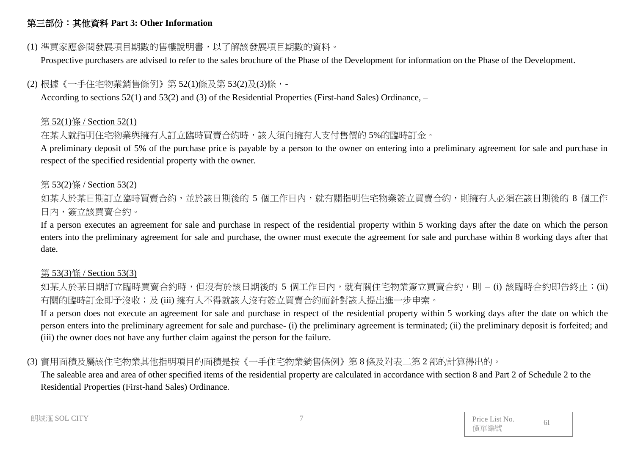# 第三部份:其他資料 **Part 3: Other Information**

### (1) 準買家應參閱發展項目期數的售樓說明書,以了解該發展項目期數的資料。

Prospective purchasers are advised to refer to the sales brochure of the Phase of the Development for information on the Phase of the Development.

# (2) 根據《一手住宅物業銷售條例》第 52(1)條及第 53(2)及(3)條,-

According to sections 52(1) and 53(2) and (3) of the Residential Properties (First-hand Sales) Ordinance, –

#### 第 52(1)條 / Section 52(1)

# 在某人就指明住宅物業與擁有人訂立臨時買賣合約時,該人須向擁有人支付售價的 5%的臨時訂金。

A preliminary deposit of 5% of the purchase price is payable by a person to the owner on entering into a preliminary agreement for sale and purchase in respect of the specified residential property with the owner.

#### 第 53(2)條 / Section 53(2)

如某人於某日期訂立臨時買賣合約,並於該日期後的 5 個工作日內,就有關指明住宅物業簽立買賣合約,則擁有人必須在該日期後的 8 個工作 日內,簽立該買賣合約。

If a person executes an agreement for sale and purchase in respect of the residential property within 5 working days after the date on which the person enters into the preliminary agreement for sale and purchase, the owner must execute the agreement for sale and purchase within 8 working days after that date.

# 第 53(3)條 / Section 53(3)

如某人於某日期訂立臨時買賣合約時,但沒有於該日期後的 5 個工作日內,就有關住宅物業簽立買賣合約,則 – (i) 該臨時合約即告終止;(ii) 有關的臨時訂金即予沒收;及 (iii) 擁有人不得就該人沒有簽立買賣合約而針對該人提出進一步申索。

If a person does not execute an agreement for sale and purchase in respect of the residential property within 5 working days after the date on which the person enters into the preliminary agreement for sale and purchase- (i) the preliminary agreement is terminated; (ii) the preliminary deposit is forfeited; and (iii) the owner does not have any further claim against the person for the failure.

# (3) 實用面積及屬該住宅物業其他指明項目的面積是按《一手住宅物業銷售條例》第 8 條及附表二第 2 部的計算得出的。

The saleable area and area of other specified items of the residential property are calculated in accordance with section 8 and Part 2 of Schedule 2 to the Residential Properties (First-hand Sales) Ordinance.

| Price List No. | 61 |
|----------------|----|
| 價單編號           |    |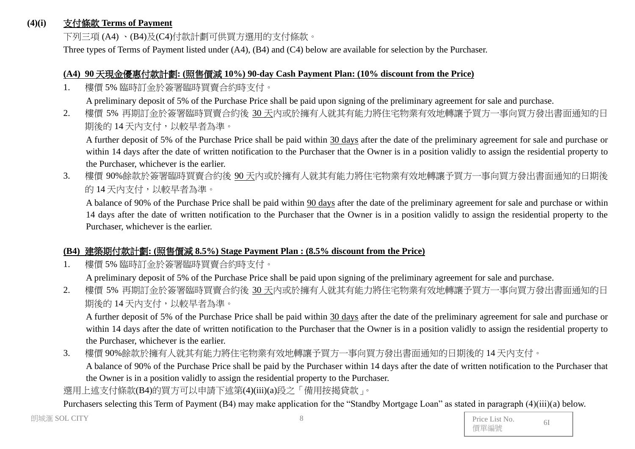#### **(4)(i)** 支付條款 **Terms of Payment**

下列三項 (A4) 、(B4)及(C4)付款計劃可供買方選用的支付條款。

Three types of Terms of Payment listed under (A4), (B4) and (C4) below are available for selection by the Purchaser.

#### **(A4) 90** 天現金優惠付款計劃**: (**照售價減 **10%) 90-day Cash Payment Plan: (10% discount from the Price)**

1. 樓價 5% 臨時訂金於簽署臨時買賣合約時支付。

A preliminary deposit of 5% of the Purchase Price shall be paid upon signing of the preliminary agreement for sale and purchase.

2. 樓價 5% 再期訂金於簽署臨時買賣合約後 30 天內或於擁有人就其有能力將住宅物業有效地轉讓予買方一事向買方發出書面通知的日 期後的 14 天內支付,以較早者為準。

A further deposit of 5% of the Purchase Price shall be paid within 30 days after the date of the preliminary agreement for sale and purchase or within 14 days after the date of written notification to the Purchaser that the Owner is in a position validly to assign the residential property to the Purchaser, whichever is the earlier.

3. 樓價 90%餘款於簽署臨時買賣合約後 90 天內或於擁有人就其有能力將住宅物業有效地轉讓予買方一事向買方發出書面通知的日期後 的 14 天內支付,以較早者為準。

A balance of 90% of the Purchase Price shall be paid within 90 days after the date of the preliminary agreement for sale and purchase or within 14 days after the date of written notification to the Purchaser that the Owner is in a position validly to assign the residential property to the Purchaser, whichever is the earlier.

# **(B4)** 建築期付款計劃**: (**照售價減 **8.5%) Stage Payment Plan : (8.5% discount from the Price)**

1. 樓價 5% 臨時訂金於簽署臨時買賣合約時支付。

A preliminary deposit of 5% of the Purchase Price shall be paid upon signing of the preliminary agreement for sale and purchase.

2. 樓價 5% 再期訂金於簽署臨時買賣合約後 30 天內或於擁有人就其有能力將住宅物業有效地轉讓予買方一事向買方發出書面通知的日 期後的 14 天內支付,以較早者為準。

A further deposit of 5% of the Purchase Price shall be paid within 30 days after the date of the preliminary agreement for sale and purchase or within 14 days after the date of written notification to the Purchaser that the Owner is in a position validly to assign the residential property to the Purchaser, whichever is the earlier.

3. 樓價 90%餘款於擁有人就其有能力將住宅物業有效地轉讓予買方一事向買方發出書面通知的日期後的 14 天內支付。

A balance of 90% of the Purchase Price shall be paid by the Purchaser within 14 days after the date of written notification to the Purchaser that the Owner is in a position validly to assign the residential property to the Purchaser.

選用上述支付條款(B4)的買方可以申請下述第(4)(iii)(a)段之「備用按揭貸款」。

Purchasers selecting this Term of Payment (B4) may make application for the "Standby Mortgage Loan" as stated in paragraph (4)(iii)(a) below.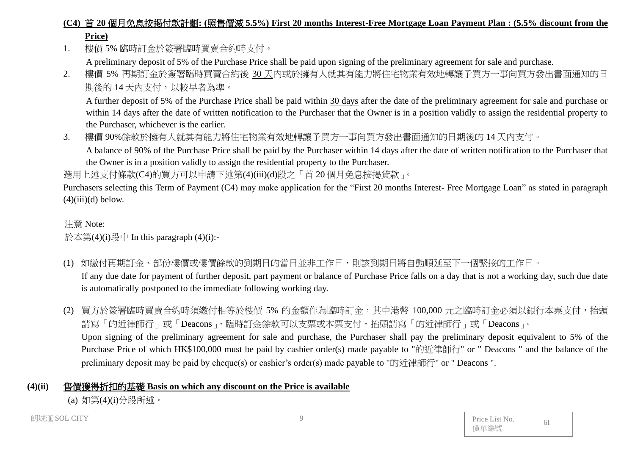# **(C4)** 首 **20** 個月免息按揭付款計劃**: (**照售價減 **5.5%) First 20 months Interest-Free Mortgage Loan Payment Plan : (5.5% discount from the Price)**

1. 樓價 5% 臨時訂金於簽署臨時買賣合約時支付。

A preliminary deposit of 5% of the Purchase Price shall be paid upon signing of the preliminary agreement for sale and purchase.

2. 樓價 5% 再期訂金於簽署臨時買賣合約後 30 天內或於擁有人就其有能力將住宅物業有效地轉讓予買方一事向買方發出書面通知的日 期後的 14 天內支付,以較早者為準。

A further deposit of 5% of the Purchase Price shall be paid within 30 days after the date of the preliminary agreement for sale and purchase or within 14 days after the date of written notification to the Purchaser that the Owner is in a position validly to assign the residential property to the Purchaser, whichever is the earlier.

3. 樓價 90%餘款於擁有人就其有能力將住宅物業有效地轉讓予買方一事向買方發出書面通知的日期後的 14 天內支付。 A balance of 90% of the Purchase Price shall be paid by the Purchaser within 14 days after the date of written notification to the Purchaser that the Owner is in a position validly to assign the residential property to the Purchaser.

選用上述支付條款(C4)的買方可以申請下述第(4)(iii)(d)段之「首20個月免息按揭貸款」。

Purchasers selecting this Term of Payment (C4) may make application for the "First 20 months Interest- Free Mortgage Loan" as stated in paragraph  $(4)(iii)(d)$  below.

#### 注意 Note:

### 於本第(4)(i)段中 In this paragraph (4)(i):-

- (1) 如繳付再期訂金、部份樓價或樓價餘款的到期日的當日並非工作日,則該到期日將自動順延至下一個緊接的工作日。 If any due date for payment of further deposit, part payment or balance of Purchase Price falls on a day that is not a working day, such due date is automatically postponed to the immediate following working day.
- (2) 買方於簽署臨時買賣合約時須繳付相等於樓價 5% 的金額作為臨時訂金,其中港幣 100,000 元之臨時訂金必須以銀行本票支付,抬頭 請寫「的近律師行」或「Deacons」,臨時訂金餘款可以支票或本票支付,抬頭請寫「的近律師行」或「Deacons」。 Upon signing of the preliminary agreement for sale and purchase, the Purchaser shall pay the preliminary deposit equivalent to 5% of the Purchase Price of which HK\$100,000 must be paid by cashier order(s) made payable to "的近律師行" or " Deacons " and the balance of the preliminary deposit may be paid by cheque(s) or cashier's order(s) made payable to "的近律師行" or " Deacons ".

# **(4)(ii)** 售價獲得折扣的基礎 **Basis on which any discount on the Price is available**

(a) 如第(4)(i)分段所述。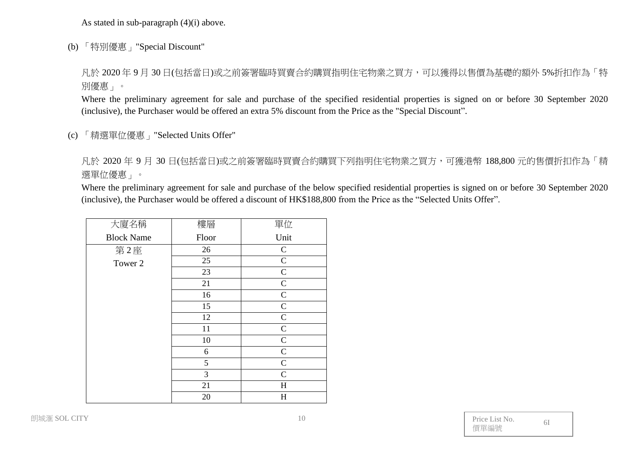As stated in sub-paragraph (4)(i) above.

(b) 「特別優惠」"Special Discount"

凡於 2020年9月30日(包括當日)或之前簽署臨時買賣合約購買指明住宅物業之買方,可以獲得以售價為基礎的額外 5%折扣作為「特 別優惠」。

Where the preliminary agreement for sale and purchase of the specified residential properties is signed on or before 30 September 2020 (inclusive), the Purchaser would be offered an extra 5% discount from the Price as the "Special Discount".

(c) 「精選單位優惠」"Selected Units Offer"

凡於 2020 年 9 月 30 日(包括當日)或之前簽署臨時買賣合約購買下列指明住宅物業之買方,可獲港幣 188,800 元的售價折扣作為「精 選單位優惠」。

Where the preliminary agreement for sale and purchase of the below specified residential properties is signed on or before 30 September 2020 (inclusive), the Purchaser would be offered a discount of HK\$188,800 from the Price as the "Selected Units Offer".

| 大廈名稱              | 樓層    | 單位           |
|-------------------|-------|--------------|
| <b>Block Name</b> | Floor | Unit         |
| 第2座               | 26    | $\mathsf{C}$ |
| Tower 2           | 25    | $\mathbf C$  |
|                   | 23    | $\mathbf C$  |
|                   | 21    | ${\bf C}$    |
|                   | 16    | $\mathbf C$  |
|                   | 15    | $\mathbf C$  |
|                   | 12    | $\mathbf C$  |
|                   | 11    | ${\bf C}$    |
|                   | 10    | $\mathbf C$  |
|                   | 6     | $\mathbf C$  |
|                   | 5     | $\mathbf C$  |
|                   | 3     | $\mathbf C$  |
|                   | 21    | H            |
|                   | 20    | H            |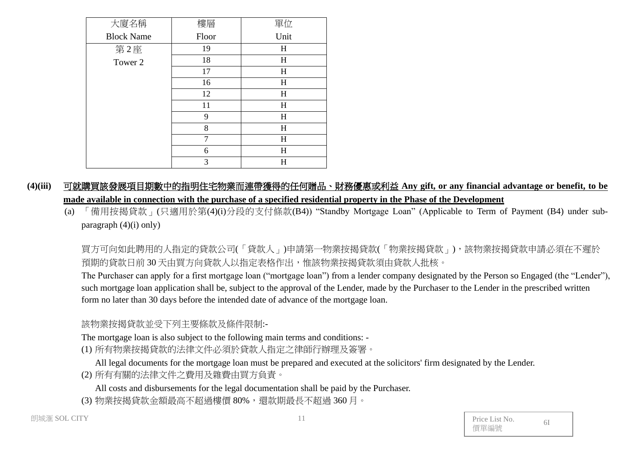| 大廈名稱              | 樓層    | 單位        |
|-------------------|-------|-----------|
| <b>Block Name</b> | Floor | Unit      |
| 第2座               | 19    | H         |
| Tower 2           | 18    | $H_{\rm}$ |
|                   | 17    | H         |
|                   | 16    | H         |
|                   | 12    | H         |
|                   | 11    | H         |
|                   | 9     | H         |
|                   | 8     | H         |
|                   | 7     | H         |
|                   | 6     | H         |
|                   | 3     | H         |

**(4)(iii)** 可就購買該發展項目期數中的指明住宅物業而連帶獲得的任何贈品、財務優惠或利益 **Any gift, or any financial advantage or benefit, to be made available in connection with the purchase of a specified residential property in the Phase of the Development**

(a) 「備用按揭貸款」(只適用於第(4)(i)分段的支付條款(B4)) "Standby Mortgage Loan" (Applicable to Term of Payment (B4) under subparagraph (4)(i) only)

買方可向如此聘用的人指定的貸款公司(「貸款人」)申請第一物業按揭貸款(「物業按揭貸款」),該物業按揭貸款申請必須在不遲於 預期的貸款日前 30 天由買方向貸款人以指定表格作出,惟該物業按揭貸款須由貸款人批核。

The Purchaser can apply for a first mortgage loan ("mortgage loan") from a lender company designated by the Person so Engaged (the "Lender"), such mortgage loan application shall be, subject to the approval of the Lender, made by the Purchaser to the Lender in the prescribed written form no later than 30 days before the intended date of advance of the mortgage loan.

該物業按揭貸款並受下列主要條款及條件限制:-

The mortgage loan is also subject to the following main terms and conditions: -

(1) 所有物業按揭貸款的法律文件必須於貸款人指定之律師行辦理及簽署。

All legal documents for the mortgage loan must be prepared and executed at the solicitors' firm designated by the Lender.

(2) 所有有關的法律文件之費用及雜費由買方負責。

All costs and disbursements for the legal documentation shall be paid by the Purchaser.

(3) 物業按揭貸款金額最高不超過樓價 80%,還款期最長不超過 360 月。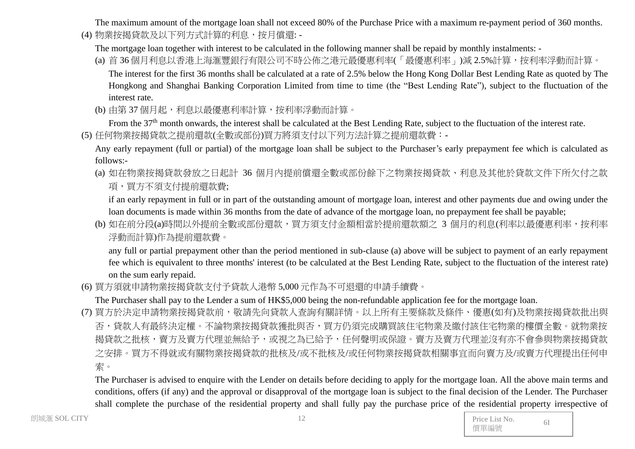The maximum amount of the mortgage loan shall not exceed 80% of the Purchase Price with a maximum re-payment period of 360 months.

(4) 物業按揭貸款及以下列方式計算的利息,按月償還: -

The mortgage loan together with interest to be calculated in the following manner shall be repaid by monthly instalments: -

- (a) 首 36 個月利息以香港上海滙豐銀行有限公司不時公佈之港元最優惠利率(「最優惠利率」)減 2.5%計算,按利率浮動而計算。 The interest for the first 36 months shall be calculated at a rate of 2.5% below the Hong Kong Dollar Best Lending Rate as quoted by The Hongkong and Shanghai Banking Corporation Limited from time to time (the "Best Lending Rate"), subject to the fluctuation of the interest rate.
- (b) 由第 37 個月起,利息以最優惠利率計算,按利率浮動而計算。

From the 37<sup>th</sup> month onwards, the interest shall be calculated at the Best Lending Rate, subject to the fluctuation of the interest rate.

(5) 任何物業按揭貸款之提前還款(全數或部份)買方將須支付以下列方法計算之提前還款費:-

Any early repayment (full or partial) of the mortgage loan shall be subject to the Purchaser's early prepayment fee which is calculated as follows:-

(a) 如在物業按揭貸款發放之日起計 36 個月內提前償還全數或部份餘下之物業按揭貸款、利息及其他於貸款文件下所欠付之款 項,買方不須支付提前還款費;

if an early repayment in full or in part of the outstanding amount of mortgage loan, interest and other payments due and owing under the loan documents is made within 36 months from the date of advance of the mortgage loan, no prepayment fee shall be payable;

(b) 如在前分段(a)時間以外提前全數或部份還款,買方須支付金額相當於提前還款額之 3 個月的利息(利率以最優惠利率,按利率 浮動而計算)作為提前還款費。

any full or partial prepayment other than the period mentioned in sub-clause (a) above will be subject to payment of an early repayment fee which is equivalent to three months' interest (to be calculated at the Best Lending Rate, subject to the fluctuation of the interest rate) on the sum early repaid.

(6) 買方須就申請物業按揭貸款支付予貸款人港幣 5,000 元作為不可退還的申請手續費。

The Purchaser shall pay to the Lender a sum of HK\$5,000 being the non-refundable application fee for the mortgage loan.

(7) 買方於決定申請物業按揭貸款前,敬請先向貸款人查詢有關詳情。以上所有主要條款及條件、優惠(如有)及物業按揭貸款批出與 否,貸款人有最終決定權。不論物業按揭貸款獲批與否,買方仍須完成購買該住宅物業及繳付該住宅物業的樓價全數。就物業按 揭貸款之批核,賣方及賣方代理並無給予,或視之為已給予,任何聲明或保證。賣方及賣方代理並沒有亦不會參與物業按揭貸款 之安排。買方不得就或有關物業按揭貸款的批核及/或不批核及/或任何物業按揭貸款相關事宜而向賣方及/或賣方代理提出任何申 索。

The Purchaser is advised to enquire with the Lender on details before deciding to apply for the mortgage loan. All the above main terms and conditions, offers (if any) and the approval or disapproval of the mortgage loan is subject to the final decision of the Lender. The Purchaser shall complete the purchase of the residential property and shall fully pay the purchase price of the residential property irrespective of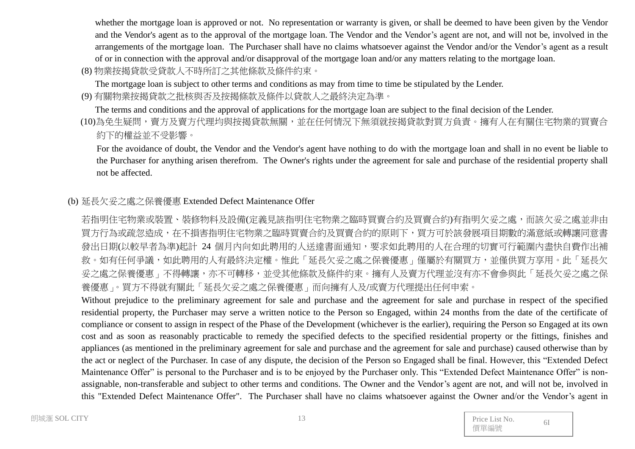whether the mortgage loan is approved or not. No representation or warranty is given, or shall be deemed to have been given by the Vendor and the Vendor's agent as to the approval of the mortgage loan. The Vendor and the Vendor's agent are not, and will not be, involved in the arrangements of the mortgage loan. The Purchaser shall have no claims whatsoever against the Vendor and/or the Vendor's agent as a result of or in connection with the approval and/or disapproval of the mortgage loan and/or any matters relating to the mortgage loan.

(8) 物業按揭貸款受貸款人不時所訂之其他條款及條件約束。

The mortgage loan is subject to other terms and conditions as may from time to time be stipulated by the Lender.

(9) 有關物業按揭貸款之批核與否及按揭條款及條件以貸款人之最終決定為準。

The terms and conditions and the approval of applications for the mortgage loan are subject to the final decision of the Lender.

(10)為免生疑問,賣方及賣方代理均與按揭貸款無關,並在任何情況下無須就按揭貸款對買方負責。擁有人在有關住宅物業的買賣合 約下的權益並不受影響。

For the avoidance of doubt, the Vendor and the Vendor's agent have nothing to do with the mortgage loan and shall in no event be liable to the Purchaser for anything arisen therefrom. The Owner's rights under the agreement for sale and purchase of the residential property shall not be affected.

# (b) 延長欠妥之處之保養優惠 Extended Defect Maintenance Offer

若指明住宅物業或裝置、裝修物料及設備(定義見該指明住宅物業之臨時買賣合約及買賣合約)有指明欠妥之處,而該欠妥之處並非由 買方行為或疏忽造成,在不損害指明住宅物業之臨時買賣合約及買賣合約的原則下,買方可於該發展項目期數的滿意紙或轉讓同意書 發出日期(以較早者為準)起計 24 個月內向如此聘用的人送達書面通知,要求如此聘用的人在合理的切實可行範圍內盡快自費作出補 救。如有任何爭議,如此聘用的人有最終決定權。惟此「延長欠妥之處之保養優惠」僅屬於有關買方,並僅供買方享用。此「延長欠 妥之處之保養優惠」不得轉讓,亦不可轉移,並受其他條款及條件約束。擁有人及賣方代理並沒有亦不會參與此「延長欠妥之處之保 養優惠」。買方不得就有關此「延長欠妥之處之保養優惠」而向擁有人及/或賣方代理提出任何申索。

Without prejudice to the preliminary agreement for sale and purchase and the agreement for sale and purchase in respect of the specified residential property, the Purchaser may serve a written notice to the Person so Engaged, within 24 months from the date of the certificate of compliance or consent to assign in respect of the Phase of the Development (whichever is the earlier), requiring the Person so Engaged at its own cost and as soon as reasonably practicable to remedy the specified defects to the specified residential property or the fittings, finishes and appliances (as mentioned in the preliminary agreement for sale and purchase and the agreement for sale and purchase) caused otherwise than by the act or neglect of the Purchaser. In case of any dispute, the decision of the Person so Engaged shall be final. However, this "Extended Defect Maintenance Offer" is personal to the Purchaser and is to be enjoyed by the Purchaser only. This "Extended Defect Maintenance Offer" is nonassignable, non-transferable and subject to other terms and conditions. The Owner and the Vendor's agent are not, and will not be, involved in this "Extended Defect Maintenance Offer". The Purchaser shall have no claims whatsoever against the Owner and/or the Vendor's agent in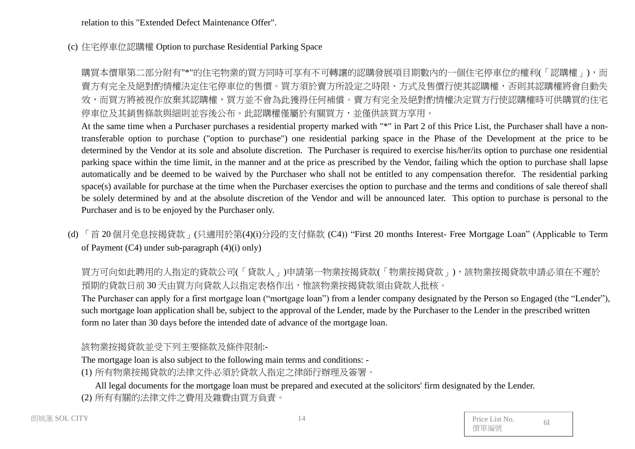relation to this "Extended Defect Maintenance Offer".

(c) 住宅停車位認購權 Option to purchase Residential Parking Space

購買本價單第二部分附有"\*"的住宅物業的買方同時可享有不可轉讓的認購發展項目期數內的一個住宅停車位的權利(「認購權」),而 賣方有完全及絕對酌情權決定住宅停車位的售價。買方須於賣方所設定之時限、方式及售價行使其認購權,否則其認購權將會自動失 效,而買方將被視作放棄其認購權,買方並不會為此獲得任何補償。賣方有完全及絕對酌情權決定買方行使認購權時可供購買的住宅 停車位及其銷售條款與細則並容後公布。此認購權僅屬於有關買方,並僅供該買方享用。

At the same time when a Purchaser purchases a residential property marked with "\*" in Part 2 of this Price List, the Purchaser shall have a nontransferable option to purchase ("option to purchase") one residential parking space in the Phase of the Development at the price to be determined by the Vendor at its sole and absolute discretion. The Purchaser is required to exercise his/her/its option to purchase one residential parking space within the time limit, in the manner and at the price as prescribed by the Vendor, failing which the option to purchase shall lapse automatically and be deemed to be waived by the Purchaser who shall not be entitled to any compensation therefor. The residential parking space(s) available for purchase at the time when the Purchaser exercises the option to purchase and the terms and conditions of sale thereof shall be solely determined by and at the absolute discretion of the Vendor and will be announced later. This option to purchase is personal to the Purchaser and is to be enjoyed by the Purchaser only.

(d) 「首 20 個月免息按揭貸款」(只適用於第(4)(i)分段的支付條款 (C4)) "First 20 months Interest- Free Mortgage Loan" (Applicable to Term of Payment (C4) under sub-paragraph (4)(i) only)

買方可向如此聘用的人指定的貸款公司(「貸款人」)申請第一物業按揭貸款(「物業按揭貸款」),該物業按揭貸款申請必須在不遲於 預期的貸款日前 30 天由買方向貸款人以指定表格作出,惟該物業按揭貸款須由貸款人批核。

The Purchaser can apply for a first mortgage loan ("mortgage loan") from a lender company designated by the Person so Engaged (the "Lender"), such mortgage loan application shall be, subject to the approval of the Lender, made by the Purchaser to the Lender in the prescribed written form no later than 30 days before the intended date of advance of the mortgage loan.

### 該物業按揭貸款並受下列主要條款及條件限制:-

The mortgage loan is also subject to the following main terms and conditions: -

(1) 所有物業按揭貸款的法律文件必須於貸款人指定之律師行辦理及簽署。

All legal documents for the mortgage loan must be prepared and executed at the solicitors' firm designated by the Lender.

(2) 所有有關的法律文件之費用及雜費由買方負責。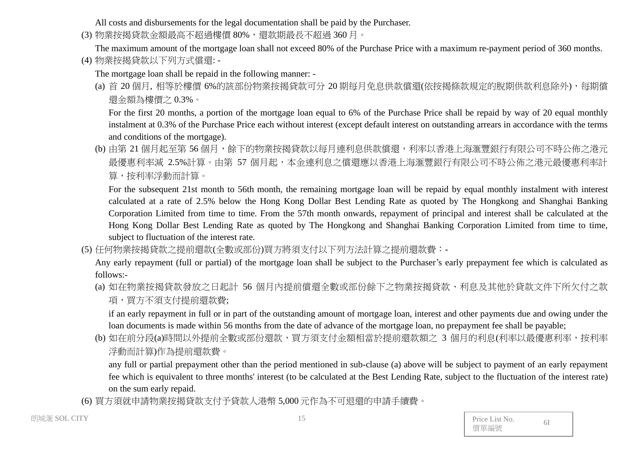All costs and disbursements for the legal documentation shall be paid by the Purchaser.

(3) 物業按揭貸款金額最高不超過樓價 80%,還款期最長不超過 360 月。

The maximum amount of the mortgage loan shall not exceed 80% of the Purchase Price with a maximum re-payment period of 360 months. (4) 物業按揭貸款以下列方式償還: -

The mortgage loan shall be repaid in the following manner: -

(a) 首 20 個月, 相等於樓價 6%的該部份物業按揭貸款可分 20 期每月免息供款償還(依按揭條款規定的脫期供款利息除外),每期償 還金額為樓價之 0.3%。

For the first 20 months, a portion of the mortgage loan equal to 6% of the Purchase Price shall be repaid by way of 20 equal monthly instalment at 0.3% of the Purchase Price each without interest (except default interest on outstanding arrears in accordance with the terms and conditions of the mortgage).

(b) 由第 21 個月起至第 56 個月,餘下的物業按揭貸款以每月連利息供款償還,利率以香港上海滙豐銀行有限公司不時公佈之港元 最優惠利率減 2.5%計算。由第 57 個月起,本金連利息之償還應以香港上海滙豐銀行有限公司不時公佈之港元最優惠利率計 算,按利率浮動而計算。

For the subsequent 21st month to 56th month, the remaining mortgage loan will be repaid by equal monthly instalment with interest calculated at a rate of 2.5% below the Hong Kong Dollar Best Lending Rate as quoted by The Hongkong and Shanghai Banking Corporation Limited from time to time. From the 57th month onwards, repayment of principal and interest shall be calculated at the Hong Kong Dollar Best Lending Rate as quoted by The Hongkong and Shanghai Banking Corporation Limited from time to time, subject to fluctuation of the interest rate.

(5) 任何物業按揭貸款之提前還款(全數或部份)買方將須支付以下列方法計算之提前還款費:-

Any early repayment (full or partial) of the mortgage loan shall be subject to the Purchaser's early prepayment fee which is calculated as follows:-

(a) 如在物業按揭貸款發放之日起計 56 個月內提前償還全數或部份餘下之物業按揭貸款、利息及其他於貸款文件下所欠付之款 項,買方不須支付提前還款費;

if an early repayment in full or in part of the outstanding amount of mortgage loan, interest and other payments due and owing under the loan documents is made within 56 months from the date of advance of the mortgage loan, no prepayment fee shall be payable;

(b) 如在前分段(a)時間以外提前全數或部份還款,買方須支付金額相當於提前還款額之 3 個月的利息(利率以最優惠利率,按利率 浮動而計算)作為提前還款費。

any full or partial prepayment other than the period mentioned in sub-clause (a) above will be subject to payment of an early repayment fee which is equivalent to three months' interest (to be calculated at the Best Lending Rate, subject to the fluctuation of the interest rate) on the sum early repaid.

(6) 買方須就申請物業按揭貸款支付予貸款人港幣 5,000 元作為不可退還的申請手續費。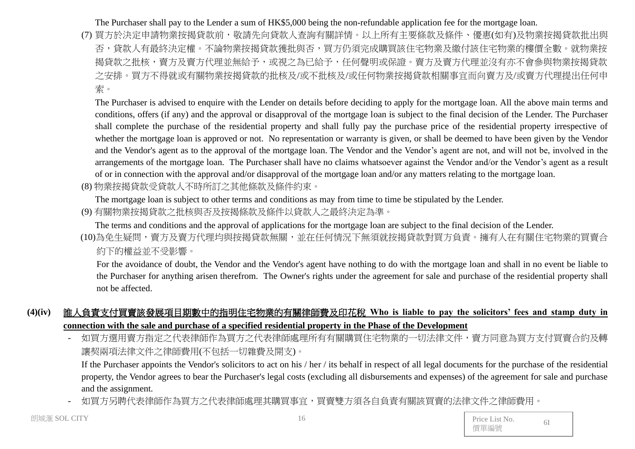#### The Purchaser shall pay to the Lender a sum of HK\$5,000 being the non-refundable application fee for the mortgage loan.

(7) 買方於決定申請物業按揭貸款前,敬請先向貸款人查詢有關詳情。以上所有主要條款及條件、優惠(如有)及物業按揭貸款批出與 否,貸款人有最終決定權。不論物業按揭貸款獲批與否,買方仍須完成購買該住宅物業及繳付該住宅物業的樓價全數。就物業按 揭貸款之批核,賣方及賣方代理並無給予,或視之為已給予,任何聲明或保證。賣方及賣方代理並沒有亦不會參與物業按揭貸款 之安排。買方不得就或有關物業按揭貸款的批核及/或不批核及/或任何物業按揭貸款相關事宜而向賣方及/或賣方代理提出任何申 索。

The Purchaser is advised to enquire with the Lender on details before deciding to apply for the mortgage loan. All the above main terms and conditions, offers (if any) and the approval or disapproval of the mortgage loan is subject to the final decision of the Lender. The Purchaser shall complete the purchase of the residential property and shall fully pay the purchase price of the residential property irrespective of whether the mortgage loan is approved or not. No representation or warranty is given, or shall be deemed to have been given by the Vendor and the Vendor's agent as to the approval of the mortgage loan. The Vendor and the Vendor's agent are not, and will not be, involved in the arrangements of the mortgage loan. The Purchaser shall have no claims whatsoever against the Vendor and/or the Vendor's agent as a result of or in connection with the approval and/or disapproval of the mortgage loan and/or any matters relating to the mortgage loan.

(8) 物業按揭貸款受貸款人不時所訂之其他條款及條件約束。

The mortgage loan is subject to other terms and conditions as may from time to time be stipulated by the Lender.

(9) 有關物業按揭貸款之批核與否及按揭條款及條件以貸款人之最終決定為準。

The terms and conditions and the approval of applications for the mortgage loan are subject to the final decision of the Lender.

(10)為免生疑問,賣方及賣方代理均與按揭貸款無關,並在任何情況下無須就按揭貸款對買方負責。擁有人在有關住宅物業的買賣合 約下的權益並不受影響。

For the avoidance of doubt, the Vendor and the Vendor's agent have nothing to do with the mortgage loan and shall in no event be liable to the Purchaser for anything arisen therefrom. The Owner's rights under the agreement for sale and purchase of the residential property shall not be affected.

# **(4)(iv)** 誰人負責支付買賣該發展項目期數中的指明住宅物業的有關律師費及印花稅 **Who is liable to pay the solicitors' fees and stamp duty in connection with the sale and purchase of a specified residential property in the Phase of the Development**

如買方選用賣方指定之代表律師處理所有有關購買住宅物業的一切法律文件,賣方同意為買方支付買賣合約及轉 讓契兩項法律文件之律師費用(不包括一切雜費及開支)。

If the Purchaser appoints the Vendor's solicitors to act on his / her / its behalf in respect of all legal documents for the purchase of the residential property, the Vendor agrees to bear the Purchaser's legal costs (excluding all disbursements and expenses) of the agreement for sale and purchase and the assignment.

- 如買方另聘代表律師作為買方之代表律師處理其購買事宜,買賣雙方須各自負責有關該買賣的法律文件之律師費用。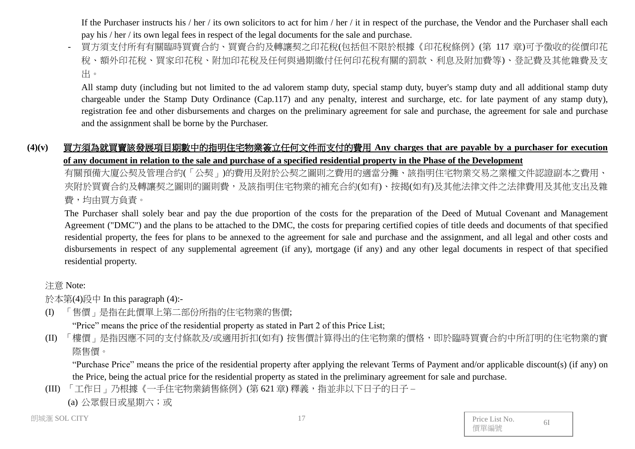If the Purchaser instructs his / her / its own solicitors to act for him / her / it in respect of the purchase, the Vendor and the Purchaser shall each pay his / her / its own legal fees in respect of the legal documents for the sale and purchase.

- 買方須支付所有有關臨時買賣合約、買賣合約及轉讓契之印花稅(包括但不限於根據《印花稅條例》(第 117 章)可予徵收的從價印花 稅、額外印花稅、買家印花稅、附加印花稅及任何與過期繳付任何印花稅有關的罰款、利息及附加費等)、登記費及其他雜費及支 出。

All stamp duty (including but not limited to the ad valorem stamp duty, special stamp duty, buyer's stamp duty and all additional stamp duty chargeable under the Stamp Duty Ordinance (Cap.117) and any penalty, interest and surcharge, etc. for late payment of any stamp duty), registration fee and other disbursements and charges on the preliminary agreement for sale and purchase, the agreement for sale and purchase and the assignment shall be borne by the Purchaser.

# **(4)(v)** 買方須為就買賣該發展項目期數中的指明住宅物業簽立任何文件而支付的費用 **Any charges that are payable by a purchaser for execution of any document in relation to the sale and purchase of a specified residential property in the Phase of the Development**

有關預備大廈公契及管理合約(「公契」)的費用及附於公契之圖則之費用的適當分攤、該指明住宅物業交易之業權文件認證副本之費用、 夾附於買賣合約及轉讓契之圖則的圖則費,及該指明住宅物業的補充合約(如有)、按揭(如有)及其他法律文件之法律費用及其他支出及雜 費,均由買方負責。

The Purchaser shall solely bear and pay the due proportion of the costs for the preparation of the Deed of Mutual Covenant and Management Agreement ("DMC") and the plans to be attached to the DMC, the costs for preparing certified copies of title deeds and documents of that specified residential property, the fees for plans to be annexed to the agreement for sale and purchase and the assignment, and all legal and other costs and disbursements in respect of any supplemental agreement (if any), mortgage (if any) and any other legal documents in respect of that specified residential property.

### 注意 Note:

於本第(4)段中 In this paragraph (4):-

(I) 「售價」是指在此價單上第二部份所指的住宅物業的售價;

"Price" means the price of the residential property as stated in Part 2 of this Price List;

(II) 「樓價」是指因應不同的支付條款及/或適用折扣(如有) 按售價計算得出的住宅物業的價格,即於臨時買賣合約中所訂明的住宅物業的實 際售價。

"Purchase Price" means the price of the residential property after applying the relevant Terms of Payment and/or applicable discount(s) (if any) on the Price, being the actual price for the residential property as stated in the preliminary agreement for sale and purchase.

(III) 「工作日」乃根據《一手住宅物業銷售條例》(第621章) 釋義,指並非以下日子的日子 –

(a) 公眾假日或星期六;或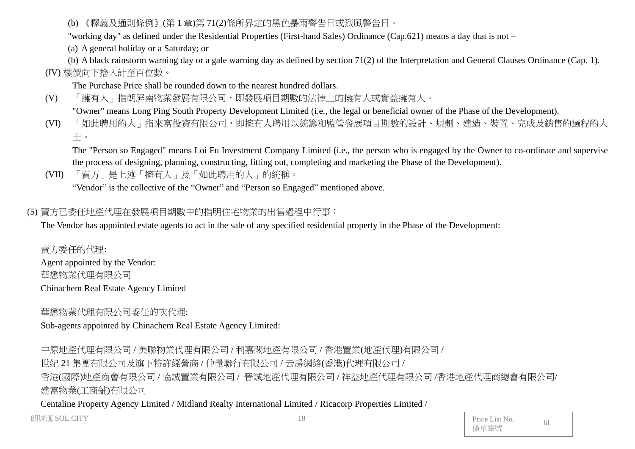(b) 《釋義及通則條例》(第 1 章)第 71(2)條所界定的黑色暴雨警告日或烈風警告日。

"working day" as defined under the Residential Properties (First-hand Sales) Ordinance (Cap.621) means a day that is not –

(a) A general holiday or a Saturday; or

(b) A black rainstorm warning day or a gale warning day as defined by section 71(2) of the Interpretation and General Clauses Ordinance (Cap. 1). (IV) 樓價向下捨入計至百位數。

The Purchase Price shall be rounded down to the nearest hundred dollars.

(V) 「擁有人」指朗屏南物業發展有限公司,即發展項目期數的法律上的擁有人或實益擁有人。

"Owner" means Long Ping South Property Development Limited (i.e., the legal or beneficial owner of the Phase of the Development).

(VI) 「如此聘用的人」指來富投資有限公司,即擁有人聘用以統籌和監管發展項目期數的設計、規劃、建造、裝置、完成及銷售的過程的人 士。

The "Person so Engaged" means Loi Fu Investment Company Limited (i.e., the person who is engaged by the Owner to co-ordinate and supervise the process of designing, planning, constructing, fitting out, completing and marketing the Phase of the Development).

(VII) 「賣方」是上述「擁有人」及「如此聘用的人」的統稱。

"Vendor" is the collective of the "Owner" and "Person so Engaged" mentioned above.

# (5) 賣方已委任地產代理在發展項目期數中的指明住宅物業的出售過程中行事:

The Vendor has appointed estate agents to act in the sale of any specified residential property in the Phase of the Development:

賣方委任的代理: Agent appointed by the Vendor: 華懋物業代理有限公司 Chinachem Real Estate Agency Limited

華懋物業代理有限公司委任的次代理:

Sub-agents appointed by Chinachem Real Estate Agency Limited:

中原地產代理有限公司 / 美聯物業代理有限公司 / 利嘉閣地產有限公司 / 香港置業(地產代理)有限公司 /

世紀 21 集團有限公司及旗下特許經營商 / 仲量聯行有限公司 / 云房網絡(香港)代理有限公司 /

香港(國際)地產商會有限公司 / 協誠置業有限公司 / 晉誠地產代理有限公司 / 祥益地產代理有限公司 /香港地產代理商總會有限公司/ 建富物業(工商舖)有限公司

Centaline Property Agency Limited / Midland Realty International Limited / Ricacorp Properties Limited /